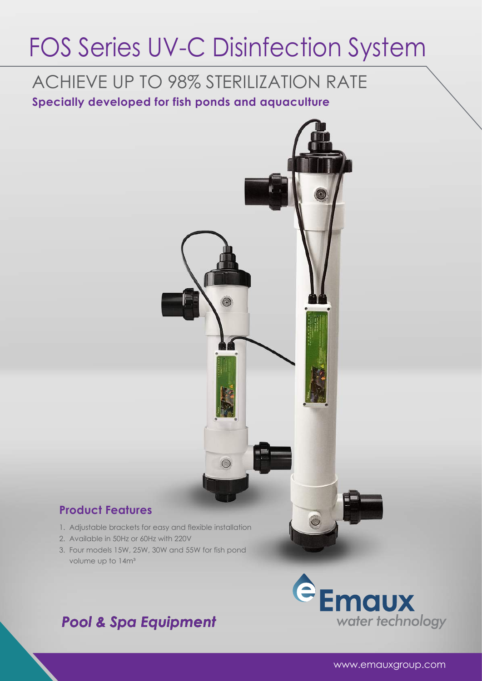# FOS Series UV-C Disinfection System

## ACHIEVE UP TO 98% STERILIZATION RATE

**Specially developed for fish ponds and aquaculture**



#### **Product Features**

- 1. Adjustable brackets for easy and flexible installation
- 2. Available in 50Hz or 60Hz with 220V
- 3. Four models 15W, 25W, 30W and 55W for fish pond volume up to 14m<sup>3</sup>

### *Pool & Spa Equipment*